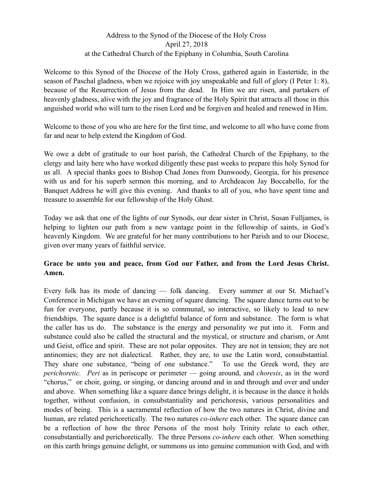## Address to the Synod of the Diocese of the Holy Cross April 27, 2018 at the Cathedral Church of the Epiphany in Columbia, South Carolina

Welcome to this Synod of the Diocese of the Holy Cross, gathered again in Eastertide, in the season of Paschal gladness, when we rejoice with joy unspeakable and full of glory (I Peter 1: 8), because of the Resurrection of Jesus from the dead. In Him we are risen, and partakers of heavenly gladness, alive with the joy and fragrance of the Holy Spirit that attracts all those in this anguished world who will turn to the risen Lord and be forgiven and healed and renewed in Him.

Welcome to those of you who are here for the first time, and welcome to all who have come from far and near to help extend the Kingdom of God.

We owe a debt of gratitude to our host parish, the Cathedral Church of the Epiphany, to the clergy and laity here who have worked diligently these past weeks to prepare this holy Synod for us all. A special thanks goes to Bishop Chad Jones from Dunwoody, Georgia, for his presence with us and for his superb sermon this morning, and to Archdeacon Jay Boccabello, for the Banquet Address he will give this evening. And thanks to all of you, who have spent time and treasure to assemble for our fellowship of the Holy Ghost.

Today we ask that one of the lights of our Synods, our dear sister in Christ, Susan Fulljames, is helping to lighten our path from a new vantage point in the fellowship of saints, in God's heavenly Kingdom. We are grateful for her many contributions to her Parish and to our Diocese, given over many years of faithful service.

## **Grace be unto you and peace, from God our Father, and from the Lord Jesus Christ. Amen.**

Every folk has its mode of dancing — folk dancing. Every summer at our St. Michael's Conference in Michigan we have an evening of square dancing. The square dance turns out to be fun for everyone, partly because it is so communal, so interactive, so likely to lead to new friendships. The square dance is a delightful balance of form and substance. The form is what the caller has us do. The substance is the energy and personality we put into it. Form and substance could also be called the structural and the mystical, or structure and charism, or Amt und Geist, office and spirit. These are not polar opposites. They are not in tension; they are not antinomies; they are not dialectical. Rather, they are, to use the Latin word, consubstantial. They share one substance, "being of one substance." To use the Greek word, they are *perichoretic. Peri* as in periscope or perimeter — going around, and *choresis*, as in the word "chorus," or choir, going, or singing, or dancing around and in and through and over and under and above. When something like a square dance brings delight, it is because in the dance it holds together, without confusion, in consubstantiality and perichoresis, various personalities and modes of being. This is a sacramental reflection of how the two natures in Christ, divine and human, are related perichoretically. The two natures *co-inhere* each other. The square dance can be a reflection of how the three Persons of the most holy Trinity relate to each other, consubstantially and perichoretically. The three Persons *co-inhere* each other. When something on this earth brings genuine delight, or summons us into genuine communion with God, and with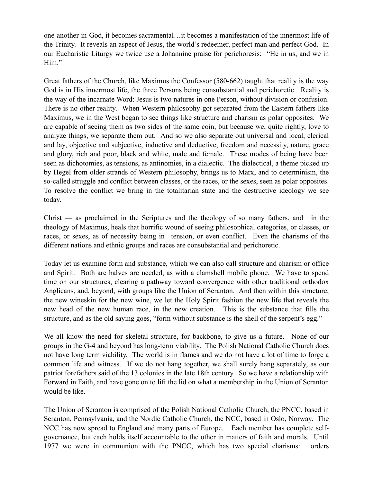one-another-in-God, it becomes sacramental…it becomes a manifestation of the innermost life of the Trinity. It reveals an aspect of Jesus, the world's redeemer, perfect man and perfect God. In our Eucharistic Liturgy we twice use a Johannine praise for perichoresis: "He in us, and we in Him."

Great fathers of the Church, like Maximus the Confessor (580-662) taught that reality is the way God is in His innermost life, the three Persons being consubstantial and perichoretic. Reality is the way of the incarnate Word: Jesus is two natures in one Person, without division or confusion. There is no other reality. When Western philosophy got separated from the Eastern fathers like Maximus, we in the West began to see things like structure and charism as polar opposites. We are capable of seeing them as two sides of the same coin, but because we, quite rightly, love to analyze things, we separate them out. And so we also separate out universal and local, clerical and lay, objective and subjective, inductive and deductive, freedom and necessity, nature, grace and glory, rich and poor, black and white, male and female. These modes of being have been seen as dichotomies, as tensions, as antinomies, in a dialectic. The dialectical, a theme picked up by Hegel from older strands of Western philosophy, brings us to Marx, and to determinism, the so-called struggle and conflict between classes, or the races, or the sexes, seen as polar opposites. To resolve the conflict we bring in the totalitarian state and the destructive ideology we see today.

 $Christ - as proclaimed in the Scriptures and the theory of so many fathers, and in the$ theology of Maximus, heals that horrific wound of seeing philosophical categories, or classes, or races, or sexes, as of necessity being in tension, or even conflict. Even the charisms of the different nations and ethnic groups and races are consubstantial and perichoretic.

Today let us examine form and substance, which we can also call structure and charism or office and Spirit. Both are halves are needed, as with a clamshell mobile phone. We have to spend time on our structures, clearing a pathway toward convergence with other traditional orthodox Anglicans, and, beyond, with groups like the Union of Scranton. And then within this structure, the new wineskin for the new wine, we let the Holy Spirit fashion the new life that reveals the new head of the new human race, in the new creation. This is the substance that fills the structure, and as the old saying goes, "form without substance is the shell of the serpent's egg."

We all know the need for skeletal structure, for backbone, to give us a future. None of our groups in the G-4 and beyond has long-term viability. The Polish National Catholic Church does not have long term viability. The world is in flames and we do not have a lot of time to forge a common life and witness. If we do not hang together, we shall surely hang separately, as our patriot forefathers said of the 13 colonies in the late 18th century. So we have a relationship with Forward in Faith, and have gone on to lift the lid on what a membership in the Union of Scranton would be like.

The Union of Scranton is comprised of the Polish National Catholic Church, the PNCC, based in Scranton, Pennsylvania, and the Nordic Catholic Church, the NCC, based in Oslo, Norway. The NCC has now spread to England and many parts of Europe. Each member has complete selfgovernance, but each holds itself accountable to the other in matters of faith and morals. Until 1977 we were in communion with the PNCC, which has two special charisms: orders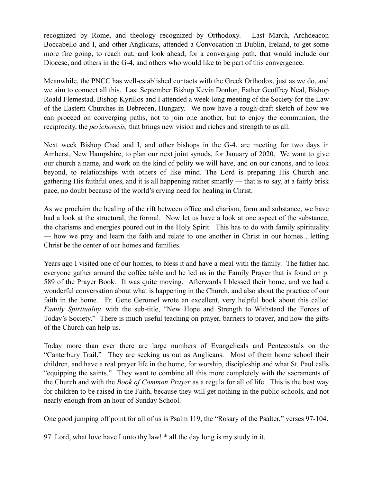recognized by Rome, and theology recognized by Orthodoxy. Last March, Archdeacon Boccabello and I, and other Anglicans, attended a Convocation in Dublin, Ireland, to get some more fire going, to reach out, and look ahead, for a converging path, that would include our Diocese, and others in the G-4, and others who would like to be part of this convergence.

Meanwhile, the PNCC has well-established contacts with the Greek Orthodox, just as we do, and we aim to connect all this. Last September Bishop Kevin Donlon, Father Geoffrey Neal, Bishop Roald Flemestad, Bishop Kyrillos and I attended a week-long meeting of the Society for the Law of the Eastern Churches in Debrecen, Hungary. We now have a rough-draft sketch of how we can proceed on converging paths, not to join one another, but to enjoy the communion, the reciprocity, the *perichoresis,* that brings new vision and riches and strength to us all.

Next week Bishop Chad and I, and other bishops in the G-4, are meeting for two days in Amherst, New Hampshire, to plan our next joint synods, for January of 2020. We want to give our church a name, and work on the kind of polity we will have, and on our canons, and to look beyond, to relationships with others of like mind. The Lord is preparing His Church and gathering His faithful ones, and it is all happening rather smartly — that is to say, at a fairly brisk pace, no doubt because of the world's crying need for healing in Christ.

As we proclaim the healing of the rift between office and charism, form and substance, we have had a look at the structural, the formal. Now let us have a look at one aspect of the substance, the charisms and energies poured out in the Holy Spirit. This has to do with family spirituality — how we pray and learn the faith and relate to one another in Christ in our homes…letting Christ be the center of our homes and families.

Years ago I visited one of our homes, to bless it and have a meal with the family. The father had everyone gather around the coffee table and he led us in the Family Prayer that is found on p. 589 of the Prayer Book. It was quite moving. Afterwards I blessed their home, and we had a wonderful conversation about what is happening in the Church, and also about the practice of our faith in the home. Fr. Gene Geromel wrote an excellent, very helpful book about this called *Family Spirituality,* with the sub-title, "New Hope and Strength to Withstand the Forces of Today's Society." There is much useful teaching on prayer, barriers to prayer, and how the gifts of the Church can help us.

Today more than ever there are large numbers of Evangelicals and Pentecostals on the "Canterbury Trail." They are seeking us out as Anglicans. Most of them home school their children, and have a real prayer life in the home, for worship, discipleship and what St. Paul calls "equipping the saints." They want to combine all this more completely with the sacraments of the Church and with the *Book of Common Prayer* as a regula for all of life. This is the best way for children to be raised in the Faith, because they will get nothing in the public schools, and not nearly enough from an hour of Sunday School.

One good jumping off point for all of us is Psalm 119, the "Rosary of the Psalter," verses 97-104.

97 Lord, what love have I unto thy law! \* all the day long is my study in it.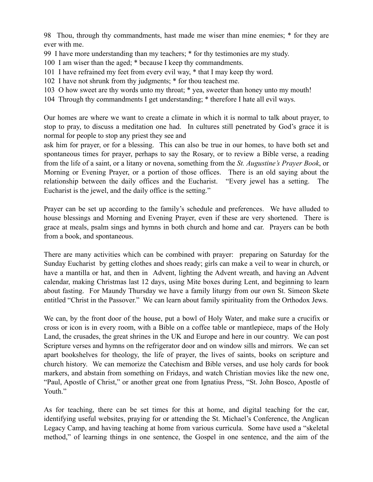98 Thou, through thy commandments, hast made me wiser than mine enemies; \* for they are ever with me.

- 99 I have more understanding than my teachers; \* for thy testimonies are my study.
- 100 I am wiser than the aged; \* because I keep thy commandments.
- 101 I have refrained my feet from every evil way, \* that I may keep thy word.
- 102 I have not shrunk from thy judgments; \* for thou teachest me.
- 103 O how sweet are thy words unto my throat; \* yea, sweeter than honey unto my mouth!
- 104 Through thy commandments I get understanding; \* therefore I hate all evil ways.

Our homes are where we want to create a climate in which it is normal to talk about prayer, to stop to pray, to discuss a meditation one had. In cultures still penetrated by God's grace it is normal for people to stop any priest they see and

ask him for prayer, or for a blessing. This can also be true in our homes, to have both set and spontaneous times for prayer, perhaps to say the Rosary, or to review a Bible verse, a reading from the life of a saint, or a litany or novena, something from the *St. Augustine's Prayer Book*, or Morning or Evening Prayer, or a portion of those offices. There is an old saying about the relationship between the daily offices and the Eucharist. "Every jewel has a setting. The Eucharist is the jewel, and the daily office is the setting."

Prayer can be set up according to the family's schedule and preferences. We have alluded to house blessings and Morning and Evening Prayer, even if these are very shortened. There is grace at meals, psalm sings and hymns in both church and home and car. Prayers can be both from a book, and spontaneous.

There are many activities which can be combined with prayer: preparing on Saturday for the Sunday Eucharist by getting clothes and shoes ready; girls can make a veil to wear in church, or have a mantilla or hat, and then in Advent, lighting the Advent wreath, and having an Advent calendar, making Christmas last 12 days, using Mite boxes during Lent, and beginning to learn about fasting. For Maundy Thursday we have a family liturgy from our own St. Simeon Skete entitled "Christ in the Passover." We can learn about family spirituality from the Orthodox Jews.

We can, by the front door of the house, put a bowl of Holy Water, and make sure a crucifix or cross or icon is in every room, with a Bible on a coffee table or mantlepiece, maps of the Holy Land, the crusades, the great shrines in the UK and Europe and here in our country. We can post Scripture verses and hymns on the refrigerator door and on window sills and mirrors. We can set apart bookshelves for theology, the life of prayer, the lives of saints, books on scripture and church history. We can memorize the Catechism and Bible verses, and use holy cards for book markers, and abstain from something on Fridays, and watch Christian movies like the new one, "Paul, Apostle of Christ," or another great one from Ignatius Press, "St. John Bosco, Apostle of Youth."

As for teaching, there can be set times for this at home, and digital teaching for the car, identifying useful websites, praying for or attending the St. Michael's Conference, the Anglican Legacy Camp, and having teaching at home from various curricula. Some have used a "skeletal method," of learning things in one sentence, the Gospel in one sentence, and the aim of the